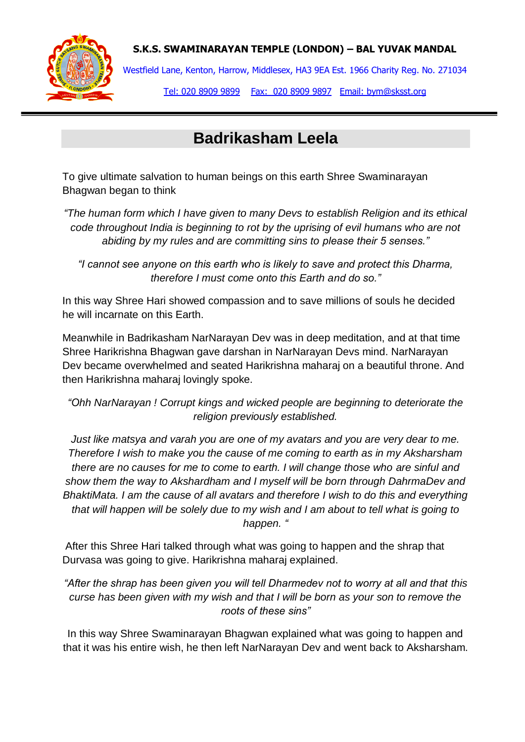



Westfield Lane, Kenton, Harrow, Middlesex, HA3 9EA Est. 1966 Charity Reg. No. 271034

Tel: 020 8909 9899 Fax: 020 8909 9897 Email: bym@sksst.org

## **Badrikasham Leela**

To give ultimate salvation to human beings on this earth Shree Swaminarayan Bhagwan began to think

*"The human form which I have given to many Devs to establish Religion and its ethical code throughout India is beginning to rot by the uprising of evil humans who are not abiding by my rules and are committing sins to please their 5 senses."*

*"I cannot see anyone on this earth who is likely to save and protect this Dharma, therefore I must come onto this Earth and do so."*

In this way Shree Hari showed compassion and to save millions of souls he decided he will incarnate on this Earth.

Meanwhile in Badrikasham NarNarayan Dev was in deep meditation, and at that time Shree Harikrishna Bhagwan gave darshan in NarNarayan Devs mind. NarNarayan Dev became overwhelmed and seated Harikrishna maharaj on a beautiful throne. And then Harikrishna maharaj lovingly spoke.

*"Ohh NarNarayan ! Corrupt kings and wicked people are beginning to deteriorate the religion previously established.*

*Just like matsya and varah you are one of my avatars and you are very dear to me. Therefore I wish to make you the cause of me coming to earth as in my Aksharsham there are no causes for me to come to earth. I will change those who are sinful and show them the way to Akshardham and I myself will be born through DahrmaDev and BhaktiMata. I am the cause of all avatars and therefore I wish to do this and everything that will happen will be solely due to my wish and I am about to tell what is going to happen. "*

After this Shree Hari talked through what was going to happen and the shrap that Durvasa was going to give. Harikrishna maharaj explained.

*"After the shrap has been given you will tell Dharmedev not to worry at all and that this curse has been given with my wish and that I will be born as your son to remove the roots of these sins"*

In this way Shree Swaminarayan Bhagwan explained what was going to happen and that it was his entire wish, he then left NarNarayan Dev and went back to Aksharsham.